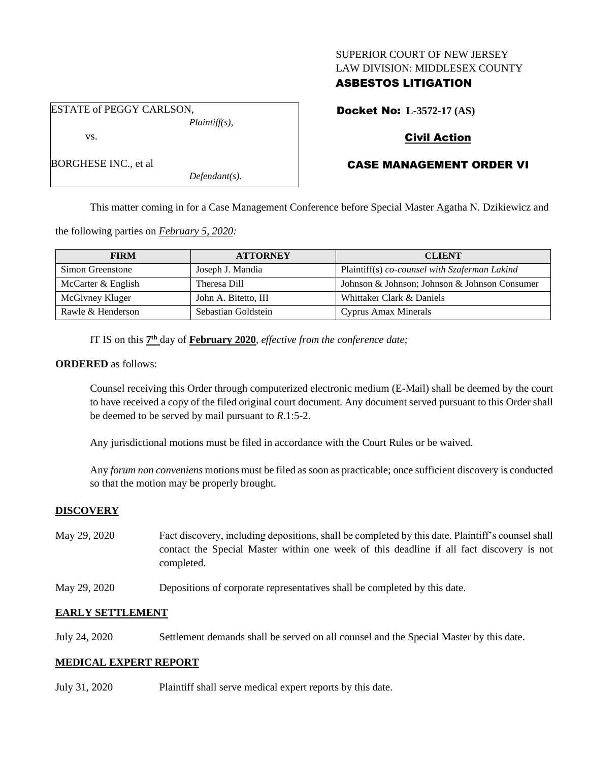## SUPERIOR COURT OF NEW JERSEY LAW DIVISION: MIDDLESEX COUNTY

# ASBESTOS LITIGATION

ESTATE of PEGGY CARLSON, *Plaintiff(s),* Docket No: **L-3572-17 (AS)**

# Civil Action

# CASE MANAGEMENT ORDER VI

This matter coming in for a Case Management Conference before Special Master Agatha N. Dzikiewicz and

the following parties on *February 5, 2020:*

| <b>FIRM</b>        | <b>ATTORNEY</b>      | <b>CLIENT</b>                                 |
|--------------------|----------------------|-----------------------------------------------|
| Simon Greenstone   | Joseph J. Mandia     | Plaintiff(s) co-counsel with Szaferman Lakind |
| McCarter & English | Theresa Dill         | Johnson & Johnson; Johnson & Johnson Consumer |
| McGivney Kluger    | John A. Bitetto, III | Whittaker Clark & Daniels                     |
| Rawle & Henderson  | Sebastian Goldstein  | <b>Cyprus Amax Minerals</b>                   |

IT IS on this  $7<sup>th</sup>$  day of **February 2020**, *effective from the conference date*;

*Defendant(s).*

## **ORDERED** as follows:

vs.

BORGHESE INC., et al

Counsel receiving this Order through computerized electronic medium (E-Mail) shall be deemed by the court to have received a copy of the filed original court document. Any document served pursuant to this Order shall be deemed to be served by mail pursuant to *R*.1:5-2.

Any jurisdictional motions must be filed in accordance with the Court Rules or be waived.

Any *forum non conveniens* motions must be filed as soon as practicable; once sufficient discovery is conducted so that the motion may be properly brought.

## **DISCOVERY**

- May 29, 2020 Fact discovery, including depositions, shall be completed by this date. Plaintiff's counsel shall contact the Special Master within one week of this deadline if all fact discovery is not completed.
- May 29, 2020 Depositions of corporate representatives shall be completed by this date.

## **EARLY SETTLEMENT**

July 24, 2020 Settlement demands shall be served on all counsel and the Special Master by this date.

## **MEDICAL EXPERT REPORT**

July 31, 2020 Plaintiff shall serve medical expert reports by this date.